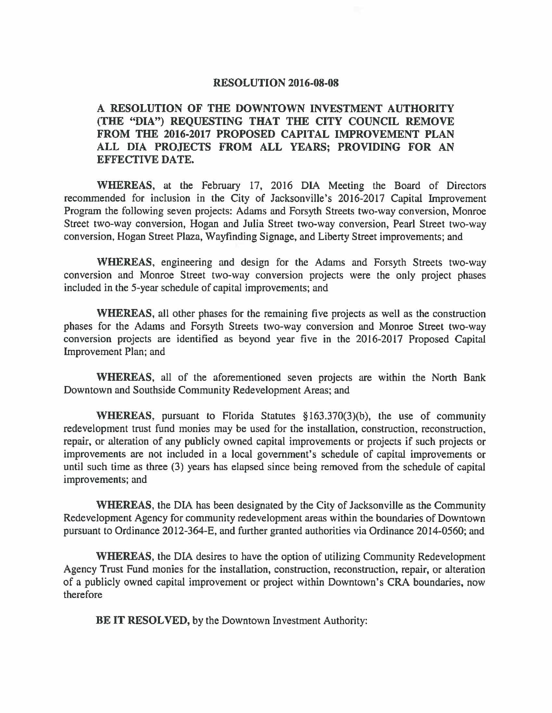## **RESOLUTION 2016-08-08**

## **A RESOLUTION OF THE DOWNTOWN INVESTMENT AUTHORITY (THE "DIA") REQUESTING THAT THE CITY COUNCIL REMOVE FROM THE 2016-2017 PROPOSED CAPITAL IMPROVEMENT PLAN ALL DIA PROJECTS FROM ALL YEARS; PROVIDING FOR AN EFFECTIVE DATE.**

**WHEREAS,** at the February 17, 2016 DIA Meeting the Board of Directors recommended for inclusion in the City of Jacksonville's 20I6-2017 Capital Improvement Program the following seven projects: Adams and Forsyth Streets two-way conversion, Monroe Street two-way conversion, Hogan and Julia Street two-way conversion, Pearl Street two-way conversion, Hogan Street Plaza, Wayfinding Signage, and Liberty Street improvements; and

**WHEREAS,** engineering and design for the Adams and Forsyth Streets two-way conversion and Monroe Street two-way conversion projects were the only project phases included in the 5-year schedule of capital improvements; and

**WHEREAS,** all other phases for the remaining five projects as well as the construction phases for the Adams and Forsyth Streets two-way conversion and Monroe Street two-way conversion projects are identified as beyond year five in the 2016-2017 Proposed Capital Improvement Plan; and

**WHEREAS,** all of the aforementioned seven projects are within the North Bank Downtown and Southside Community Redevelopment Areas; and

**WHEREAS,** pursuant to Florida Statutes § 163.370(3)(b), the use of community redevelopment trust fund monies may be used for the installation, construction, reconstruction, repair, or alteration of any publicly owned capital improvements or projects if such projects or improvements are not included in a local government's schedule of capital improvements or until such time as three (3) years has elapsed since being removed from the schedule of capital improvements; and

**WHEREAS,** the DIA has been designated by the City of Jacksonville as the Community Redevelopment Agency for community redevelopment areas within the boundaries of Downtown pursuant to Ordinance 2012-364-E, and further granted authorities via Ordinance 2014-0560; and

**WHEREAS,** the DIA desires to have the option of utilizing Community Redevelopment Agency Trust Fund monies for the installation, construction, reconstruction, repair, or alteration of a publicly owned capital improvement or project within Downtown's CRA boundaries, now therefore

**BE IT RESOLVED,** by the Downtown Investment Authority: